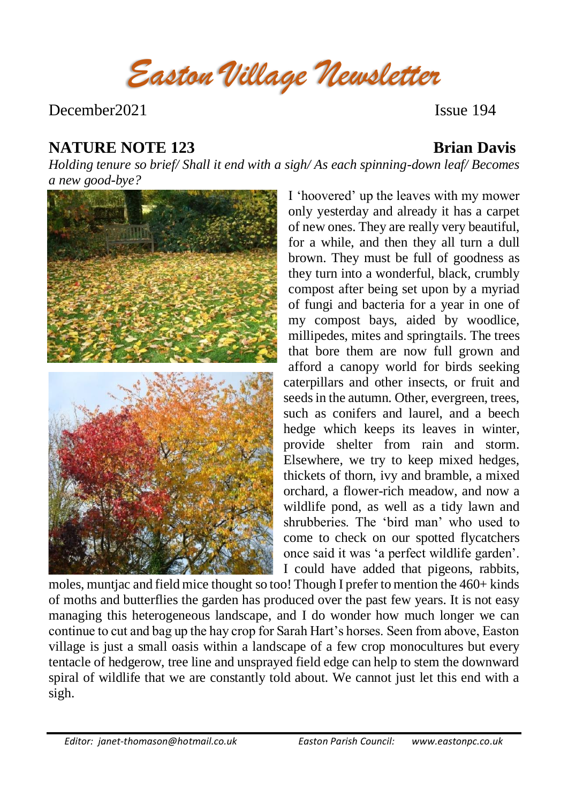*Easton Village Newsletter*

December 2021 **Issue 194** 

# **NATURE NOTE 123 Brian Davis**

*Holding tenure so brief/ Shall it end with a sigh/ As each spinning-down leaf/ Becomes a new good-bye?* 



I 'hoovered' up the leaves with my mower only yesterday and already it has a carpet of new ones. They are really very beautiful, for a while, and then they all turn a dull brown. They must be full of goodness as they turn into a wonderful, black, crumbly compost after being set upon by a myriad of fungi and bacteria for a year in one of my compost bays, aided by woodlice, millipedes, mites and springtails. The trees that bore them are now full grown and afford a canopy world for birds seeking caterpillars and other insects, or fruit and seeds in the autumn. Other, evergreen, trees, such as conifers and laurel, and a beech hedge which keeps its leaves in winter, provide shelter from rain and storm. Elsewhere, we try to keep mixed hedges, thickets of thorn, ivy and bramble, a mixed orchard, a flower-rich meadow, and now a wildlife pond, as well as a tidy lawn and shrubberies. The 'bird man' who used to come to check on our spotted flycatchers once said it was 'a perfect wildlife garden'. I could have added that pigeons, rabbits,

moles, muntjac and field mice thought so too! Though I prefer to mention the 460+ kinds of moths and butterflies the garden has produced over the past few years. It is not easy managing this heterogeneous landscape, and I do wonder how much longer we can continue to cut and bag up the hay crop for Sarah Hart's horses. Seen from above, Easton village is just a small oasis within a landscape of a few crop monocultures but every tentacle of hedgerow, tree line and unsprayed field edge can help to stem the downward spiral of wildlife that we are constantly told about. We cannot just let this end with a sigh.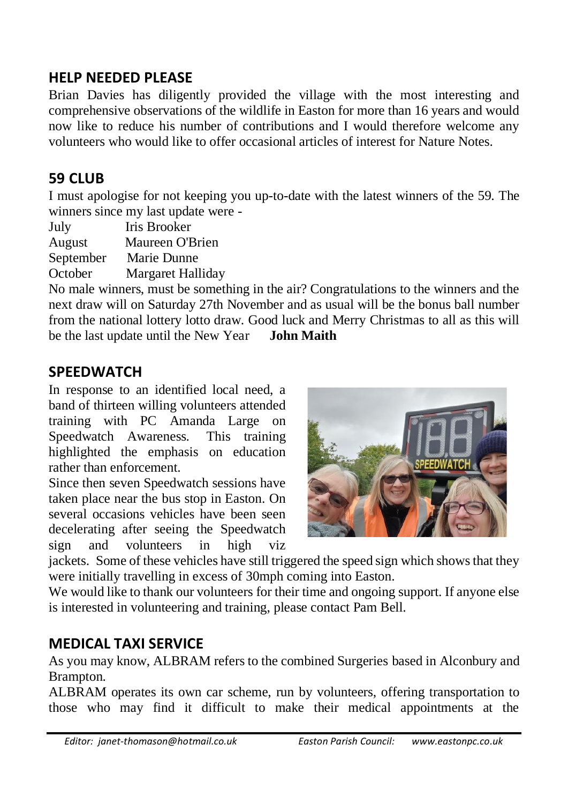# **HELP NEEDED PLEASE**

Brian Davies has diligently provided the village with the most interesting and comprehensive observations of the wildlife in Easton for more than 16 years and would now like to reduce his number of contributions and I would therefore welcome any volunteers who would like to offer occasional articles of interest for Nature Notes.

# **59 CLUB**

I must apologise for not keeping you up-to-date with the latest winners of the 59. The winners since my last update were -

July Iris Brooker

August Maureen O'Brien

September Marie Dunne

October Margaret Halliday

No male winners, must be something in the air? Congratulations to the winners and the next draw will on Saturday 27th November and as usual will be the bonus ball number from the national lottery lotto draw. Good luck and Merry Christmas to all as this will be the last update until the New Year **John Maith**

### **SPEEDWATCH**

In response to an identified local need, a band of thirteen willing volunteers attended training with PC Amanda Large on Speedwatch Awareness. This training highlighted the emphasis on education rather than enforcement.

Since then seven Speedwatch sessions have taken place near the bus stop in Easton. On several occasions vehicles have been seen decelerating after seeing the Speedwatch sign and volunteers in high viz



jackets. Some of these vehicles have still triggered the speed sign which shows that they were initially travelling in excess of 30mph coming into Easton.

We would like to thank our volunteers for their time and ongoing support. If anyone else is interested in volunteering and training, please contact Pam Bell.

# **MEDICAL TAXI SERVICE**

As you may know, ALBRAM refers to the combined Surgeries based in Alconbury and Brampton.

ALBRAM operates its own car scheme, run by volunteers, offering transportation to those who may find it difficult to make their medical appointments at the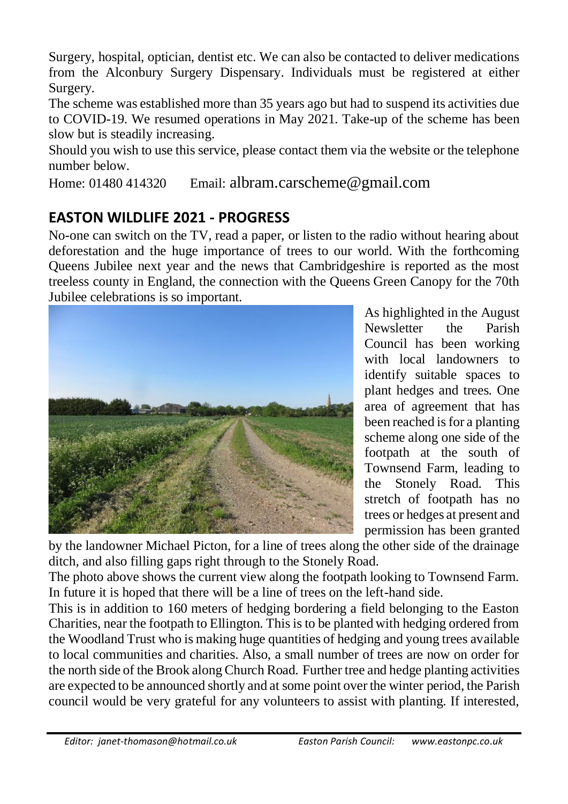Surgery, hospital, optician, dentist etc. We can also be contacted to deliver medications from the Alconbury Surgery Dispensary. Individuals must be registered at either Surgery.

The scheme was established more than 35 years ago but had to suspend its activities due to COVID-19. We resumed operations in May 2021. Take-up of the scheme has been slow but is steadily increasing.

Should you wish to use this service, please contact them via the website or the telephone number below.

Home: 01480 414320 Email: [albram.carscheme@gmail.com](mailto:albram.carscheme@gmail.com)

# **EASTON WILDLIFE 2021 - PROGRESS**

No-one can switch on the TV, read a paper, or listen to the radio without hearing about deforestation and the huge importance of trees to our world. With the forthcoming Queens Jubilee next year and the news that Cambridgeshire is reported as the most treeless county in England, the connection with the Queens Green Canopy for the 70th Jubilee celebrations is so important.



As highlighted in the August Newsletter the Parish Council has been working with local landowners to identify suitable spaces to plant hedges and trees. One area of agreement that has been reached is for a planting scheme along one side of the footpath at the south of Townsend Farm, leading to the Stonely Road. This stretch of footpath has no trees or hedges at present and permission has been granted

by the landowner Michael Picton, for a line of trees along the other side of the drainage ditch, and also filling gaps right through to the Stonely Road.

The photo above shows the current view along the footpath looking to Townsend Farm. In future it is hoped that there will be a line of trees on the left-hand side.

This is in addition to 160 meters of hedging bordering a field belonging to the Easton Charities, near the footpath to Ellington. This is to be planted with hedging ordered from the Woodland Trust who is making huge quantities of hedging and young trees available to local communities and charities. Also, a small number of trees are now on order for the north side of the Brook along Church Road. Further tree and hedge planting activities are expected to be announced shortly and at some point over the winter period, the Parish council would be very grateful for any volunteers to assist with planting. If interested,